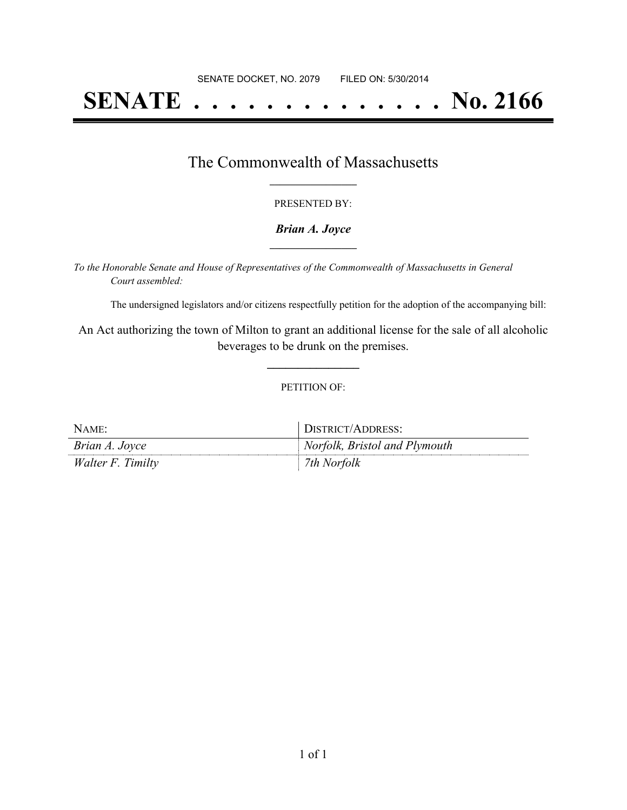# **SENATE . . . . . . . . . . . . . . No. 2166**

### The Commonwealth of Massachusetts **\_\_\_\_\_\_\_\_\_\_\_\_\_\_\_\_\_**

#### PRESENTED BY:

#### *Brian A. Joyce* **\_\_\_\_\_\_\_\_\_\_\_\_\_\_\_\_\_**

*To the Honorable Senate and House of Representatives of the Commonwealth of Massachusetts in General Court assembled:*

The undersigned legislators and/or citizens respectfully petition for the adoption of the accompanying bill:

An Act authorizing the town of Milton to grant an additional license for the sale of all alcoholic beverages to be drunk on the premises.

**\_\_\_\_\_\_\_\_\_\_\_\_\_\_\_**

#### PETITION OF:

| NAME:             | DISTRICT/ADDRESS:             |
|-------------------|-------------------------------|
| Brian A. Joyce    | Norfolk, Bristol and Plymouth |
| Walter F. Timilty | 7th Norfolk                   |